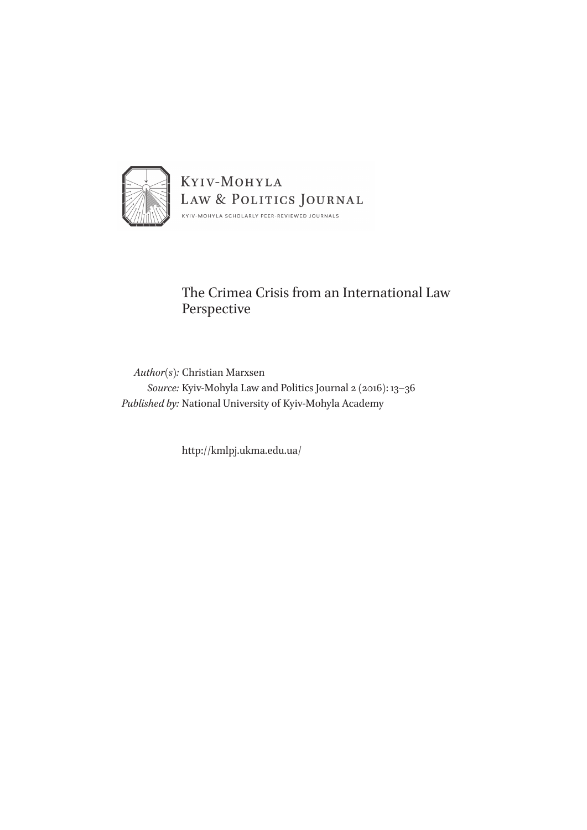

# The Crimea Crisis from an International Law Perspective

*Author(s):* Christian Marxsen *Source:* Kyiv-Mohyla Law and Politics Journal 2 (2016): 13–36 *Published by:* National University of Kyiv-Mohyla Academy

http://kmlpj.ukma.edu.ua/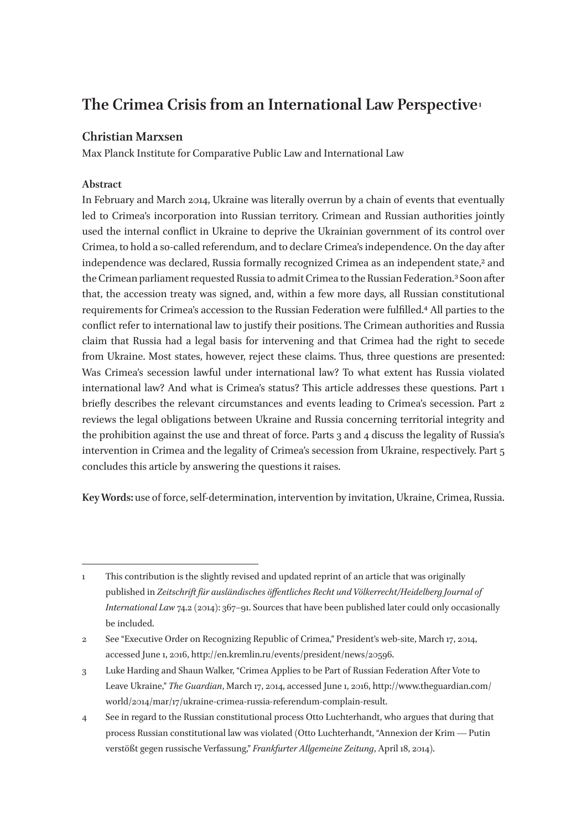# **The Crimea Crisis from an International Law Perspective 1**

# **Christian Marxsen**

Max Planck Institute for Comparative Public Law and International Law

# **Abstract**

In February and March 2014, Ukraine was literally overrun by a chain of events that eventually led to Crimea's incorporation into Russian territory. Crimean and Russian authorities jointly used the internal conflict in Ukraine to deprive the Ukrainian government of its control over Crimea, to hold a so-called referendum, and to declare Crimea's independence. On the day after independence was declared, Russia formally recognized Crimea as an independent state,<sup>2</sup> and the Crimean parliament requested Russia to admit Crimea to the Russian Federation.3 Soon after that, the accession treaty was signed, and, within a few more days, all Russian constitutional requirements for Crimea's accession to the Russian Federation were fulfilled.4 All parties to the conflict refer to international law to justify their positions. The Crimean authorities and Russia claim that Russia had a legal basis for intervening and that Crimea had the right to secede from Ukraine. Most states, however, reject these claims. Thus, three questions are presented: Was Crimea's secession lawful under international law? To what extent has Russia violated international law? And what is Crimea's status? This article addresses these questions. Part 1 briefly describes the relevant circumstances and events leading to Crimea's secession. Part 2 reviews the legal obligations between Ukraine and Russia concerning territorial integrity and the prohibition against the use and threat of force. Parts 3 and 4 discuss the legality of Russia's intervention in Crimea and the legality of Crimea's secession from Ukraine, respectively. Part 5 concludes this article by answering the questions it raises.

**Key Words:** use of force, self-determination, intervention by invitation, Ukraine, Crimea, Russia.

<sup>1</sup> This contribution is the slightly revised and updated reprint of an article that was originally published in *Zeitschrift für ausländisches öffentliches Recht und Völkerrecht/Heidelberg Journal of International Law* 74.2 (2014): 367–91. Sources that have been published later could only occasionally be included.

<sup>2</sup> See "Executive Order on Recognizing Republic of Crimea," President's web-site, March 17, 2014, accessed June 1, 2016, http://en.kremlin.ru/events/president/news/20596.

<sup>3</sup> Luke Harding and Shaun Walker, "Crimea Applies to be Part of Russian Federation After Vote to Leave Ukraine," *The Guardian*, March 17, 2014, accessed June 1, 2016, http://www.theguardian.com/ world/2014/mar/17/ukraine-crimea-russia-referendum-complain-result.

<sup>4</sup> See in regard to the Russian constitutional process Otto Luchterhandt, who argues that during that process Russian constitutional law was violated (Otto Luchterhandt, "Annexion der Krim — Putin verstößt gegen russische Verfassung," *Frankfurter Allgemeine Zeitung*, April 18, 2014).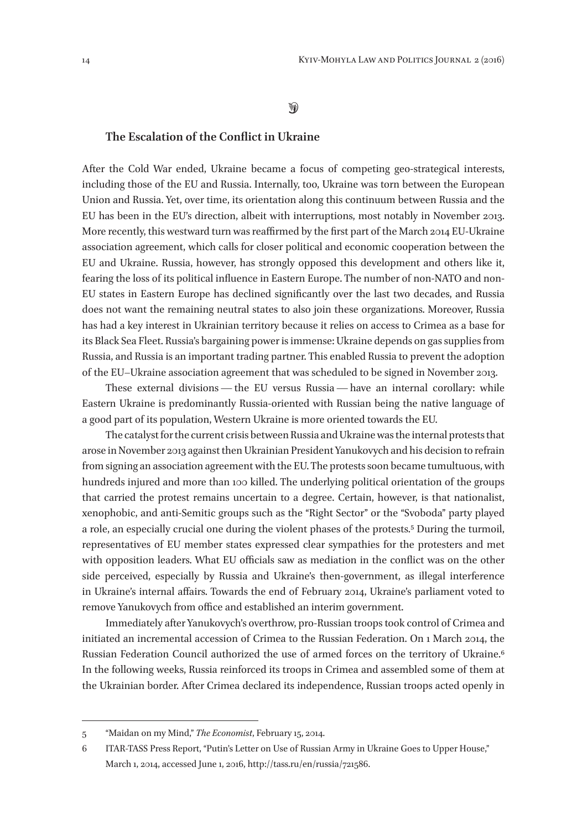## $\mathcal{D}$

## **The Escalation of the Conflict in Ukraine**

After the Cold War ended, Ukraine became a focus of competing geo-strategical interests, including those of the EU and Russia. Internally, too, Ukraine was torn between the European Union and Russia. Yet, over time, its orientation along this continuum between Russia and the EU has been in the EU's direction, albeit with interruptions, most notably in November 2013. More recently, this westward turn was reaffirmed by the first part of the March 2014 EU-Ukraine association agreement, which calls for closer political and economic cooperation between the EU and Ukraine. Russia, however, has strongly opposed this development and others like it, fearing the loss of its political influence in Eastern Europe. The number of non-NATO and non-EU states in Eastern Europe has declined significantly over the last two decades, and Russia does not want the remaining neutral states to also join these organizations. Moreover, Russia has had a key interest in Ukrainian territory because it relies on access to Crimea as a base for its Black Sea Fleet. Russia's bargaining power is immense: Ukraine depends on gas supplies from Russia, and Russia is an important trading partner. This enabled Russia to prevent the adoption of the EU–Ukraine association agreement that was scheduled to be signed in November 2013.

These external divisions — the EU versus Russia — have an internal corollary: while Eastern Ukraine is predominantly Russia-oriented with Russian being the native language of a good part of its population, Western Ukraine is more oriented towards the EU.

The catalyst for the current crisis between Russia and Ukraine was the internal protests that arose in November 2013 against then Ukrainian President Yanukovych and his decision to refrain from signing an association agreement with the EU. The protests soon became tumultuous, with hundreds injured and more than 100 killed. The underlying political orientation of the groups that carried the protest remains uncertain to a degree. Certain, however, is that nationalist, xenophobic, and anti-Semitic groups such as the "Right Sector" or the "Svoboda" party played a role, an especially crucial one during the violent phases of the protests.5 During the turmoil, representatives of EU member states expressed clear sympathies for the protesters and met with opposition leaders. What EU officials saw as mediation in the conflict was on the other side perceived, especially by Russia and Ukraine's then-government, as illegal interference in Ukraine's internal affairs. Towards the end of February 2014, Ukraine's parliament voted to remove Yanukovych from office and established an interim government.

Immediately after Yanukovych's overthrow, pro-Russian troops took control of Crimea and initiated an incremental accession of Crimea to the Russian Federation. On 1 March 2014, the Russian Federation Council authorized the use of armed forces on the territory of Ukraine.6 In the following weeks, Russia reinforced its troops in Crimea and assembled some of them at the Ukrainian border. After Crimea declared its independence, Russian troops acted openly in

<sup>5</sup> "Maidan on my Mind," *The Economist*, February 15, 2014.

<sup>6</sup> ITAR-TASS Press Report, "Putin's Letter on Use of Russian Army in Ukraine Goes to Upper House," March 1, 2014, accessed June 1, 2016, http://tass.ru/en/russia/721586.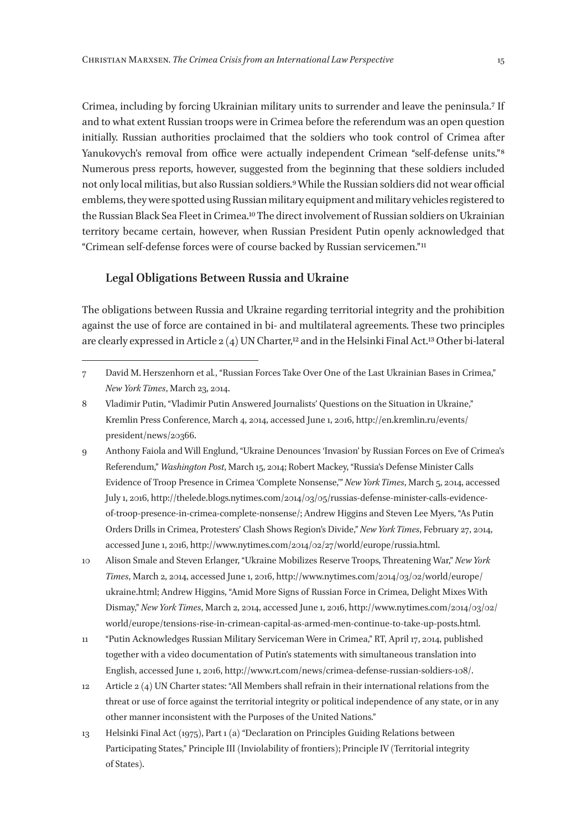Crimea, including by forcing Ukrainian military units to surrender and leave the peninsula.7 If and to what extent Russian troops were in Crimea before the referendum was an open question initially. Russian authorities proclaimed that the soldiers who took control of Crimea after Yanukovych's removal from office were actually independent Crimean "self-defense units."<sup>8</sup> Numerous press reports, however, suggested from the beginning that these soldiers included not only local militias, but also Russian soldiers.9 While the Russian soldiers did not wear official emblems, they were spotted using Russian military equipment and military vehicles registered to the Russian Black Sea Fleet in Crimea.10 The direct involvement of Russian soldiers on Ukrainian territory became certain, however, when Russian President Putin openly acknowledged that "Crimean self-defense forces were of course backed by Russian servicemen." 11

#### **Legal Obligations Between Russia and Ukraine**

The obligations between Russia and Ukraine regarding territorial integrity and the prohibition against the use of force are contained in bi- and multilateral agreements. These two principles are clearly expressed in Article 2 (4) UN Charter,12 and in the Helsinki Final Act.13 Other bi-lateral

- 9 Anthony Faiola and Will Englund, "Ukraine Denounces 'Invasion' by Russian Forces on Eve of Crimea's Referendum," *Washington Post*, March 15, 2014; Robert Mackey, "Russia's Defense Minister Calls Evidence of Troop Presence in Crimea 'Complete Nonsense,'" *New York Times*, March 5, 2014, accessed July 1, 2016, http://thelede.blogs.nytimes.com/2014/03/05/russias-defense-minister-calls-evidenceof-troop-presence-in-crimea-complete-nonsense/; Andrew Higgins and Steven Lee Myers, "As Putin Orders Drills in Crimea, Protesters' Clash Shows Region's Divide," *New York Times*, February 27, 2014, accessed June 1, 2016, http://www.nytimes.com/2014/02/27/world/europe/russia.html.
- 10 Alison Smale and Steven Erlanger, "Ukraine Mobilizes Reserve Troops, Threatening War," *New York Times*, March 2, 2014, accessed June 1, 2016, http://www.nytimes.com/2014/03/02/world/europe/ ukraine.html; Andrew Higgins, "Amid More Signs of Russian Force in Crimea, Delight Mixes With Dismay," *New York Times*, March 2, 2014, accessed June 1, 2016, http://www.nytimes.com/2014/03/02/ world/europe/tensions-rise-in-crimean-capital-as-armed-men-continue-to-take-up-posts.html.
- 11 "Putin Acknowledges Russian Military Serviceman Were in Crimea," RT, April 17, 2014, published together with a video documentation of Putin's statements with simultaneous translation into English, accessed June 1, 2016, http://www.rt.com/news/crimea-defense-russian-soldiers-108/.
- 12 Article 2 (4) UN Charter states: "All Members shall refrain in their international relations from the threat or use of force against the territorial integrity or political independence of any state, or in any other manner inconsistent with the Purposes of the United Nations."
- 13 Helsinki Final Act (1975), Part 1 (a) "Declaration on Principles Guiding Relations between Participating States," Principle III (Inviolability of frontiers); Principle IV (Territorial integrity of States).

<sup>7</sup> David M. Herszenhorn et al*.*, "Russian Forces Take Over One of the Last Ukrainian Bases in Crimea," *New York Times*, March 23, 2014.

<sup>8</sup> Vladimir Putin, "Vladimir Putin Answered Journalists' Questions on the Situation in Ukraine," Kremlin Press Conference, March 4, 2014, accessed June 1, 2016, http://en.kremlin.ru/events/ president/news/20366.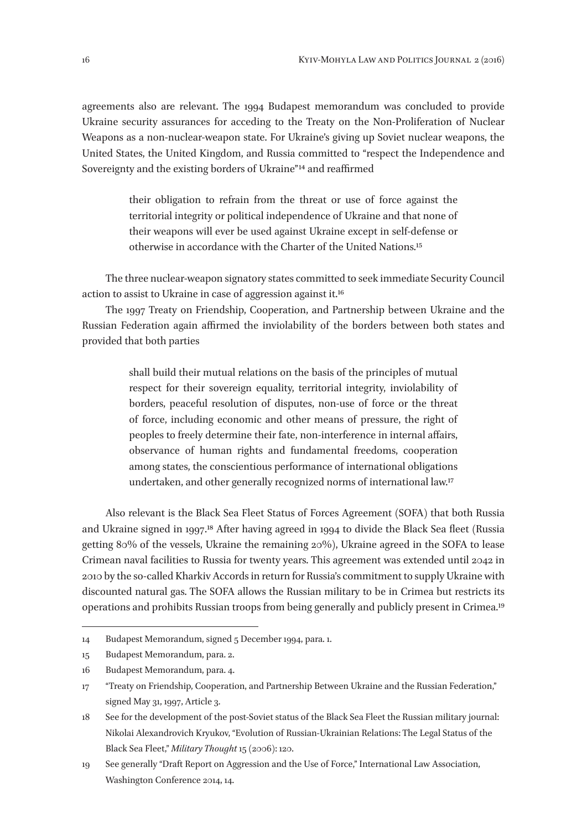agreements also are relevant. The 1994 Budapest memorandum was concluded to provide Ukraine security assurances for acceding to the Treaty on the Non-Proliferation of Nuclear Weapons as a non-nuclear-weapon state. For Ukraine's giving up Soviet nuclear weapons, the United States, the United Kingdom, and Russia committed to "respect the Independence and Sovereignty and the existing borders of Ukraine"<sup>14</sup> and reaffirmed

> their obligation to refrain from the threat or use of force against the territorial integrity or political independence of Ukraine and that none of their weapons will ever be used against Ukraine except in self-defense or otherwise in accordance with the Charter of the United Nations.15

The three nuclear-weapon signatory states committed to seek immediate Security Council action to assist to Ukraine in case of aggression against it.16

The 1997 Treaty on Friendship, Cooperation, and Partnership between Ukraine and the Russian Federation again affirmed the inviolability of the borders between both states and provided that both parties

> shall build their mutual relations on the basis of the principles of mutual respect for their sovereign equality, territorial integrity, inviolability of borders, peaceful resolution of disputes, non-use of force or the threat of force, including economic and other means of pressure, the right of peoples to freely determine their fate, non-interference in internal affairs, observance of human rights and fundamental freedoms, cooperation among states, the conscientious performance of international obligations undertaken, and other generally recognized norms of international law.17

Also relevant is the Black Sea Fleet Status of Forces Agreement (SOFA) that both Russia and Ukraine signed in 1997.18 After having agreed in 1994 to divide the Black Sea fleet (Russia getting 80% of the vessels, Ukraine the remaining 20%), Ukraine agreed in the SOFA to lease Crimean naval facilities to Russia for twenty years. This agreement was extended until 2042 in 2010 by the so-called Kharkiv Accords in return for Russia's commitment to supply Ukraine with discounted natural gas. The SOFA allows the Russian military to be in Crimea but restricts its operations and prohibits Russian troops from being generally and publicly present in Crimea.19

<sup>14</sup> Budapest Memorandum, signed 5 December 1994, para. 1.

<sup>15</sup> Budapest Memorandum, para. 2.

<sup>16</sup> Budapest Memorandum, para. 4.

<sup>17</sup> "Treaty on Friendship, Cooperation, and Partnership Between Ukraine and the Russian Federation," signed May 31, 1997, Article 3.

<sup>18</sup> See for the development of the post-Soviet status of the Black Sea Fleet the Russian military journal: Nikolai Alexandrovich Kryukov, "Evolution of Russian-Ukrainian Relations: The Legal Status of the Black Sea Fleet," *Military Thought* 15 (2006): 120.

<sup>19</sup> See generally "Draft Report on Aggression and the Use of Force," International Law Association, Washington Conference 2014, 14.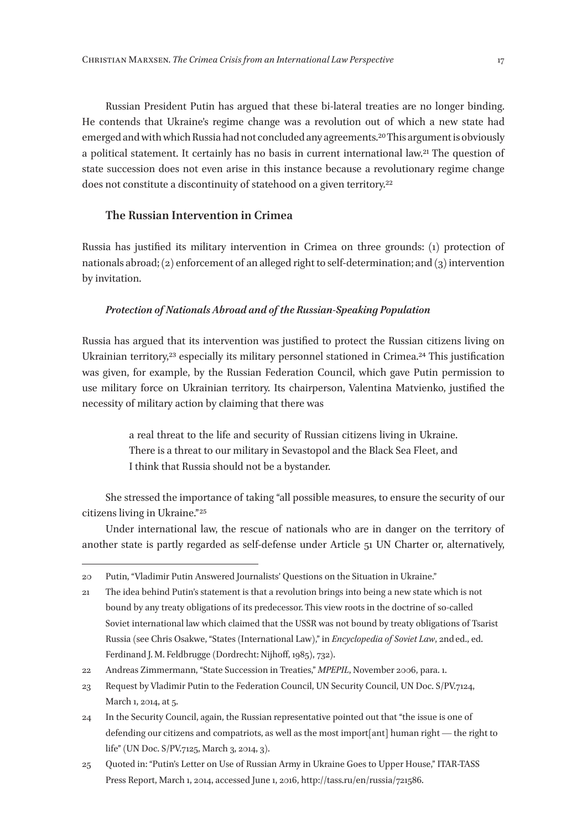Russian President Putin has argued that these bi-lateral treaties are no longer binding. He contends that Ukraine's regime change was a revolution out of which a new state had emerged and with which Russia had not concluded any agreements.20 This argument is obviously a political statement. It certainly has no basis in current international law.21 The question of state succession does not even arise in this instance because a revolutionary regime change does not constitute a discontinuity of statehood on a given territory.<sup>22</sup>

## **The Russian Intervention in Crimea**

Russia has justified its military intervention in Crimea on three grounds: (1) protection of nationals abroad; (2) enforcement of an alleged right to self-determination; and (3) intervention by invitation.

#### *Protection of Nationals Abroad and of the Russian-Speaking Population*

Russia has argued that its intervention was justified to protect the Russian citizens living on Ukrainian territory,<sup>23</sup> especially its military personnel stationed in Crimea.<sup>24</sup> This justification was given, for example, by the Russian Federation Council, which gave Putin permission to use military force on Ukrainian territory. Its chairperson, Valentina Matvienko, justified the necessity of military action by claiming that there was

> a real threat to the life and security of Russian citizens living in Ukraine. There is a threat to our military in Sevastopol and the Black Sea Fleet, and I think that Russia should not be a bystander.

She stressed the importance of taking "all possible measures, to ensure the security of our citizens living in Ukraine." 25

Under international law, the rescue of nationals who are in danger on the territory of another state is partly regarded as self-defense under Article 51 UN Charter or, alternatively,

<sup>20</sup> Putin, "Vladimir Putin Answered Journalists' Questions on the Situation in Ukraine."

<sup>21</sup> The idea behind Putin's statement is that a revolution brings into being a new state which is not bound by any treaty obligations of its predecessor. This view roots in the doctrine of so-called Soviet international law which claimed that the USSR was not bound by treaty obligations of Tsarist Russia (see Chris Osakwe, "States (International Law)," in *Encyclopedia of Soviet Law*, 2nded., ed. Ferdinand J. M. Feldbrugge (Dordrecht: Nijhoff, 1985), 732).

<sup>22</sup> Andreas Zimmermann, "State Succession in Treaties," *MPEPIL*, November 2006, para. 1.

<sup>23</sup> Request by Vladimir Putin to the Federation Council, UN Security Council, UN Doc. S/PV.7124, March 1, 2014, at 5.

<sup>24</sup> In the Security Council, again, the Russian representative pointed out that "the issue is one of defending our citizens and compatriots, as well as the most import[ant] human right — the right to life" (UN Doc. S/PV.7125, March 3, 2014, 3).

<sup>25</sup> Quoted in: "Putin's Letter on Use of Russian Army in Ukraine Goes to Upper House," ITAR-TASS Press Report, March 1, 2014, accessed June 1, 2016, http://tass.ru/en/russia/721586.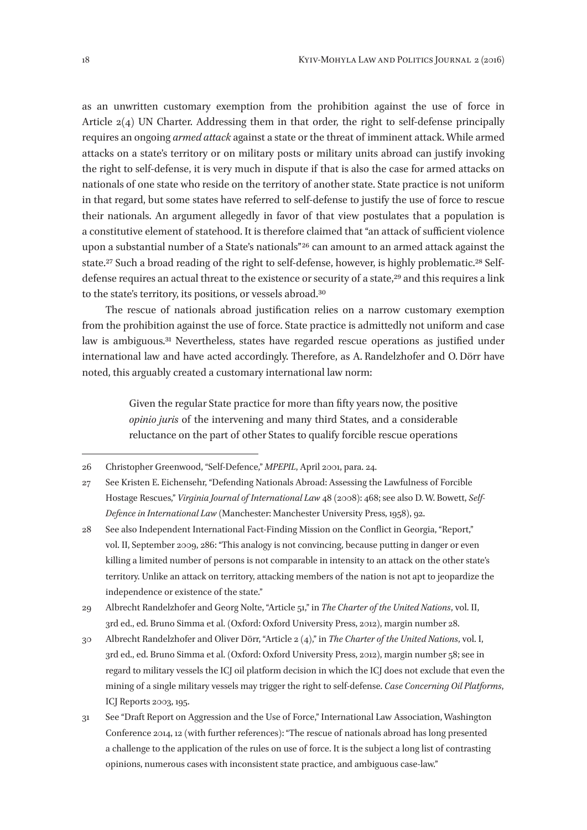as an unwritten customary exemption from the prohibition against the use of force in Article 2(4) UN Charter. Addressing them in that order, the right to self-defense principally requires an ongoing *armed attack* against a state or the threat of imminent attack. While armed attacks on a state's territory or on military posts or military units abroad can justify invoking the right to self-defense, it is very much in dispute if that is also the case for armed attacks on nationals of one state who reside on the territory of another state. State practice is not uniform in that regard, but some states have referred to self-defense to justify the use of force to rescue their nationals. An argument allegedly in favor of that view postulates that a population is a constitutive element of statehood. It is therefore claimed that "an attack of sufficient violence upon a substantial number of a State's nationals" 26 can amount to an armed attack against the state.<sup>27</sup> Such a broad reading of the right to self-defense, however, is highly problematic.<sup>28</sup> Selfdefense requires an actual threat to the existence or security of a state,<sup>29</sup> and this requires a link to the state's territory, its positions, or vessels abroad.30

The rescue of nationals abroad justification relies on a narrow customary exemption from the prohibition against the use of force. State practice is admittedly not uniform and case law is ambiguous.<sup>31</sup> Nevertheless, states have regarded rescue operations as justified under international law and have acted accordingly. Therefore, as A. Randelzhofer and O. Dörr have noted, this arguably created a customary international law norm:

> Given the regular State practice for more than fifty years now, the positive *opinio juris* of the intervening and many third States, and a considerable reluctance on the part of other States to qualify forcible rescue operations

- 29 Albrecht Randelzhofer and Georg Nolte, "Article 51," in *The Charter of the United Nations*, vol. II, 3rd ed., ed. Bruno Simma et al. (Oxford: Oxford University Press, 2012), margin number 28.
- 30 Albrecht Randelzhofer and Oliver Dörr, "Article 2 (4)," in *The Charter of the United Nations*, vol. I, 3rd ed., ed. Bruno Simma et al. (Oxford: Oxford University Press, 2012), margin number 58; see in regard to military vessels the ICJ oil platform decision in which the ICJ does not exclude that even the mining of a single military vessels may trigger the right to self-defense. *Case Concerning Oil Platforms*, ICJ Reports 2003, 195.
- 31 See "Draft Report on Aggression and the Use of Force," International Law Association, Washington Conference 2014, 12 (with further references): "The rescue of nationals abroad has long presented a challenge to the application of the rules on use of force. It is the subject a long list of contrasting opinions, numerous cases with inconsistent state practice, and ambiguous case-law."

<sup>26</sup> Christopher Greenwood, "Self-Defence," *MPEPIL*, April 2001, para. 24.

<sup>27</sup> See Kristen E. Eichensehr, "Defending Nationals Abroad: Assessing the Lawfulness of Forcible Hostage Rescues," *Virginia Journal of International Law* 48 (2008): 468; see also D. W. Bowett, *Self-Defence in International Law* (Manchester: Manchester University Press, 1958), 92.

<sup>28</sup> See also Independent International Fact-Finding Mission on the Conflict in Georgia, "Report," vol. II, September 2009, 286: "This analogy is not convincing, because putting in danger or even killing a limited number of persons is not comparable in intensity to an attack on the other state's territory. Unlike an attack on territory, attacking members of the nation is not apt to jeopardize the independence or existence of the state."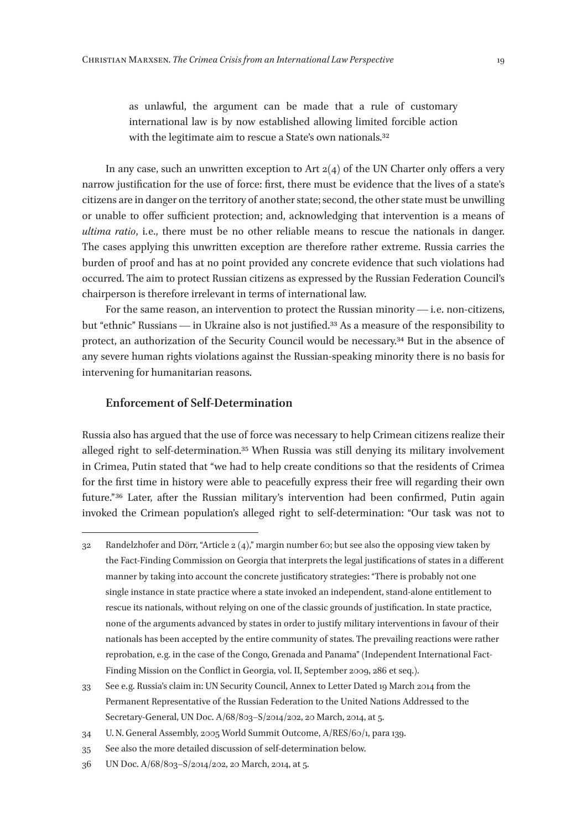as unlawful, the argument can be made that a rule of customary international law is by now established allowing limited forcible action with the legitimate aim to rescue a State's own nationals.<sup>32</sup>

In any case, such an unwritten exception to Art  $2(4)$  of the UN Charter only offers a very narrow justification for the use of force: first, there must be evidence that the lives of a state's citizens are in danger on the territory of another state; second, the other state must be unwilling or unable to offer sufficient protection; and, acknowledging that intervention is a means of *ultima ratio*, *i.e.*, there must be no other reliable means to rescue the nationals in danger. The cases applying this unwritten exception are therefore rather extreme. Russia carries the burden of proof and has at no point provided any concrete evidence that such violations had occurred. The aim to protect Russian citizens as expressed by the Russian Federation Council's chairperson is therefore irrelevant in terms of international law.

For the same reason, an intervention to protect the Russian minority  $-$  i.e. non-citizens, but "ethnic" Russians — in Ukraine also is not justified.33 As a measure of the responsibility to protect, an authorization of the Security Council would be necessary.34 But in the absence of any severe human rights violations against the Russian-speaking minority there is no basis for intervening for humanitarian reasons.

### **Enforcement of Self-Determination**

Russia also has argued that the use of force was necessary to help Crimean citizens realize their alleged right to self-determination.35 When Russia was still denying its military involvement in Crimea, Putin stated that "we had to help create conditions so that the residents of Crimea for the first time in history were able to peacefully express their free will regarding their own future." 36 Later, after the Russian military's intervention had been confirmed, Putin again invoked the Crimean population's alleged right to self-determination: "Our task was not to

- 34 U. N. General Assembly, 2005 World Summit Outcome, A/RES/60/1, para 139.
- 35 See also the more detailed discussion of self-determination below.
- 36 UN Doc. A/68/803–S/2014/202, 20 March, 2014, at 5.

<sup>32</sup> Randelzhofer and Dörr, "Article 2 (4)," margin number 60; but see also the opposing view taken by the Fact-Finding Commission on Georgia that interprets the legal justifications of states in a different manner by taking into account the concrete justificatory strategies: "There is probably not one single instance in state practice where a state invoked an independent, stand-alone entitlement to rescue its nationals, without relying on one of the classic grounds of justification. In state practice, none of the arguments advanced by states in order to justify military interventions in favour of their nationals has been accepted by the entire community of states. The prevailing reactions were rather reprobation, e. g. in the case of the Congo, Grenada and Panama" (Independent International Fact-Finding Mission on the Conflict in Georgia, vol. II, September 2009, 286 et seq.).

<sup>33</sup> See e. g. Russia's claim in: UN Security Council, Annex to Letter Dated 19 March 2014 from the Permanent Representative of the Russian Federation to the United Nations Addressed to the Secretary-General, UN Doc. A/68/803–S/2014/202, 20 March, 2014, at 5.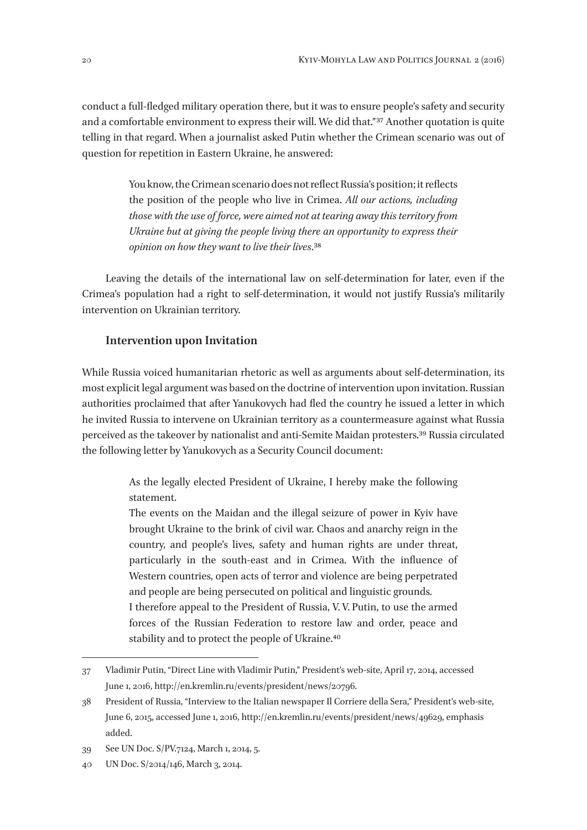conduct a full-fledged military operation there, but it was to ensure people's safety and security and a comfortable environment to express their will. We did that." 37 Another quotation is quite telling in that regard. When a journalist asked Putin whether the Crimean scenario was out of question for repetition in Eastern Ukraine, he answered:

> You know, the Crimean scenario does not reflect Russia's position; it reflects the position of the people who live in Crimea. *All our actions, including those with the use of force, were aimed not at tearing away this territory from Ukraine but at giving the people living there an opportunity to express their opinion on how they want to live their lives*.38

Leaving the details of the international law on self-determination for later, even if the Crimea's population had a right to self-determination, it would not justify Russia's militarily intervention on Ukrainian territory.

## **Intervention upon Invitation**

While Russia voiced humanitarian rhetoric as well as arguments about self-determination, its most explicit legal argument was based on the doctrine of intervention upon invitation. Russian authorities proclaimed that after Yanukovych had fled the country he issued a letter in which he invited Russia to intervene on Ukrainian territory as a countermeasure against what Russia perceived as the takeover by nationalist and anti-Semite Maidan protesters.39 Russia circulated the following letter by Yanukovych as a Security Council document:

> As the legally elected President of Ukraine, I hereby make the following statement.

> The events on the Maidan and the illegal seizure of power in Kyiv have brought Ukraine to the brink of civil war. Chaos and anarchy reign in the country, and people's lives, safety and human rights are under threat, particularly in the south-east and in Crimea. With the influence of Western countries, open acts of terror and violence are being perpetrated and people are being persecuted on political and linguistic grounds. I therefore appeal to the President of Russia, V. V. Putin, to use the armed forces of the Russian Federation to restore law and order, peace and stability and to protect the people of Ukraine.<sup>40</sup>

<sup>37</sup> Vladimir Putin, "Direct Line with Vladimir Putin," President's web-site, April 17, 2014, accessed June 1, 2016, http://en.kremlin.ru/events/president/news/20796.

<sup>38</sup> President of Russia, "Interview to the Italian newspaper Il Corriere della Sera," President's web-site, June 6, 2015, accessed June 1, 2016, http://en.kremlin.ru/events/president/news/49629, emphasis added.

<sup>39</sup> See UN Doc. S/PV.7124, March 1, 2014, 5.

<sup>40</sup> UN Doc. S/2014/146, March 3, 2014.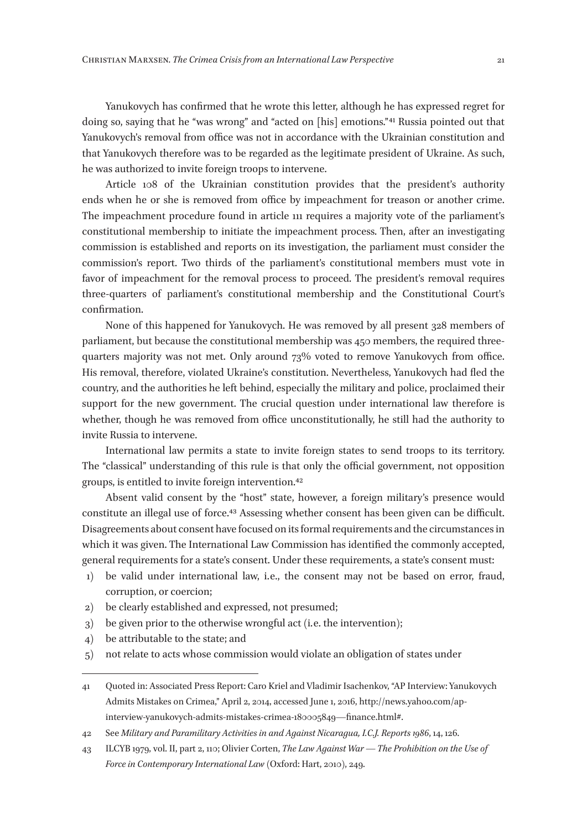Yanukovych has confirmed that he wrote this letter, although he has expressed regret for doing so, saying that he "was wrong" and "acted on [his] emotions."<sup>41</sup> Russia pointed out that Yanukovych's removal from office was not in accordance with the Ukrainian constitution and that Yanukovych therefore was to be regarded as the legitimate president of Ukraine. As such, he was authorized to invite foreign troops to intervene.

Article 108 of the Ukrainian constitution provides that the president's authority ends when he or she is removed from office by impeachment for treason or another crime. The impeachment procedure found in article 111 requires a majority vote of the parliament's constitutional membership to initiate the impeachment process. Then, after an investigating commission is established and reports on its investigation, the parliament must consider the commission's report. Two thirds of the parliament's constitutional members must vote in favor of impeachment for the removal process to proceed. The president's removal requires three-quarters of parliament's constitutional membership and the Constitutional Court's confirmation.

None of this happened for Yanukovych. He was removed by all present 328 members of parliament, but because the constitutional membership was 450 members, the required threequarters majority was not met. Only around 73% voted to remove Yanukovych from office. His removal, therefore, violated Ukraine's constitution. Nevertheless, Yanukovych had fled the country, and the authorities he left behind, especially the military and police, proclaimed their support for the new government. The crucial question under international law therefore is whether, though he was removed from office unconstitutionally, he still had the authority to invite Russia to intervene.

International law permits a state to invite foreign states to send troops to its territory. The "classical" understanding of this rule is that only the official government, not opposition groups, is entitled to invite foreign intervention.42

Absent valid consent by the "host" state, however, a foreign military's presence would constitute an illegal use of force.43 Assessing whether consent has been given can be difficult. Disagreements about consent have focused on its formal requirements and the circumstances in which it was given. The International Law Commission has identified the commonly accepted, general requirements for a state's consent. Under these requirements, a state's consent must:

- 1) be valid under international law, i.e., the consent may not be based on error, fraud, corruption, or coercion;
- 2) be clearly established and expressed, not presumed;
- 3) be given prior to the otherwise wrongful act (i.e. the intervention);
- 4) be attributable to the state; and
- 5) not relate to acts whose commission would violate an obligation of states under

<sup>41</sup> Quoted in: Associated Press Report: Caro Kriel and Vladimir Isachenkov, "AP Interview: Yanukovych Admits Mistakes on Crimea," April 2, 2014, accessed June 1, 2016, http://news.yahoo.com/apinterview-yanukovych-admits-mistakes-crimea‑180005849—finance.html#.

<sup>42</sup> See *Military and Paramilitary Activities in and Against Nicaragua, I.C.J. Reports 1986*, 14, 126.

<sup>43</sup> ILCYB 1979, vol. II, part 2, 110; Olivier Corten, *The Law Against War — The Prohibition on the Use of Force in Contemporary International Law* (Oxford: Hart, 2010), 249.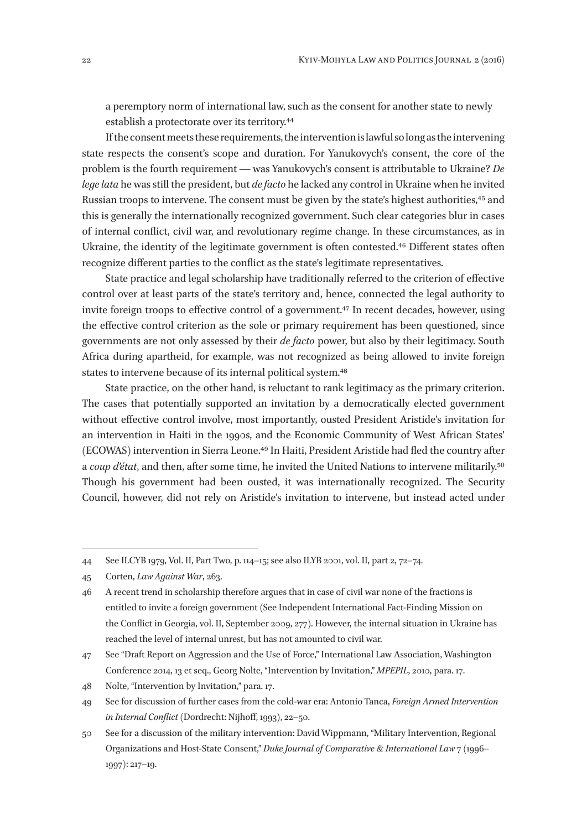a peremptory norm of international law, such as the consent for another state to newly establish a protectorate over its territory.44

If the consent meets these requirements, the intervention is lawful so long as the intervening state respects the consent's scope and duration. For Yanukovych's consent, the core of the problem is the fourth requirement — was Yanukovych's consent is attributable to Ukraine? *De lege lata* he was still the president, but *de facto* he lacked any control in Ukraine when he invited Russian troops to intervene. The consent must be given by the state's highest authorities,<sup>45</sup> and this is generally the internationally recognized government. Such clear categories blur in cases of internal conflict, civil war, and revolutionary regime change. In these circumstances, as in Ukraine, the identity of the legitimate government is often contested.46 Different states often recognize different parties to the conflict as the state's legitimate representatives.

State practice and legal scholarship have traditionally referred to the criterion of effective control over at least parts of the state's territory and, hence, connected the legal authority to invite foreign troops to effective control of a government.<sup>47</sup> In recent decades, however, using the effective control criterion as the sole or primary requirement has been questioned, since governments are not only assessed by their *de facto* power, but also by their legitimacy. South Africa during apartheid, for example, was not recognized as being allowed to invite foreign states to intervene because of its internal political system.48

State practice, on the other hand, is reluctant to rank legitimacy as the primary criterion. The cases that potentially supported an invitation by a democratically elected government without effective control involve, most importantly, ousted President Aristide's invitation for an intervention in Haiti in the 1990s, and the Economic Community of West African States' (ECOWAS) intervention in Sierra Leone.49 In Haiti, President Aristide had fled the country after a *coup d'état*, and then, after some time, he invited the United Nations to intervene militarily.50 Though his government had been ousted, it was internationally recognized. The Security Council, however, did not rely on Aristide's invitation to intervene, but instead acted under

48 Nolte, "Intervention by Invitation," para. 17.

<sup>44</sup> See ILCYB 1979, Vol. II, Part Two, p. 114–15; see also ILYB 2001, vol. II, part 2, 72–74.

<sup>45</sup> Corten, *Law Against War*, 263.

<sup>46</sup> A recent trend in scholarship therefore argues that in case of civil war none of the fractions is entitled to invite a foreign government (See Independent International Fact-Finding Mission on the Conflict in Georgia, vol. II, September 2009, 277). However, the internal situation in Ukraine has reached the level of internal unrest, but has not amounted to civil war.

<sup>47</sup> See "Draft Report on Aggression and the Use of Force," International Law Association, Washington Conference 2014, 13 et seq., Georg Nolte, "Intervention by Invitation," *MPEPIL*, 2010, para. 17.

<sup>49</sup> See for discussion of further cases from the cold-war era: Antonio Tanca, *Foreign Armed Intervention in Internal Conflict* (Dordrecht: Nijhoff, 1993), 22–50.

<sup>50</sup> See for a discussion of the military intervention: David Wippmann, "Military Intervention, Regional Organizations and Host-State Consent," *Duke Journal of Comparative & International Law* 7 (1996– 1997): 217–19.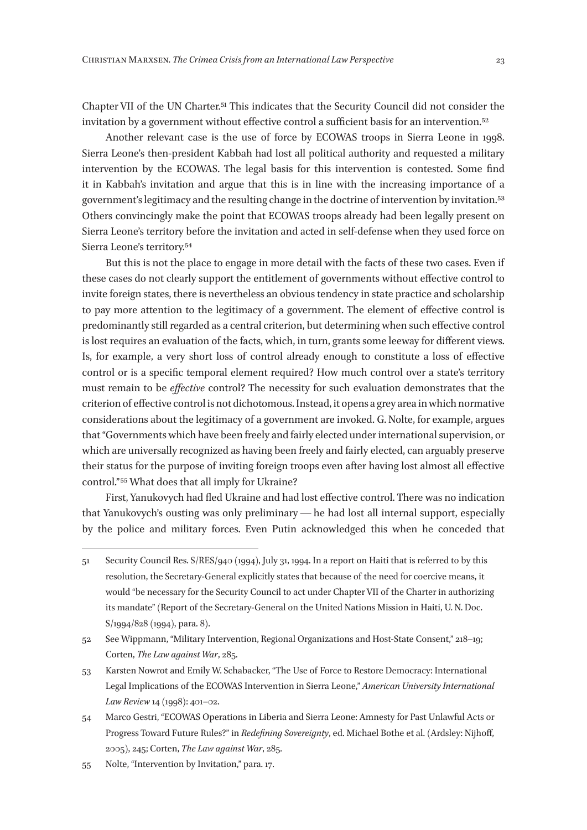Chapter VII of the UN Charter.51 This indicates that the Security Council did not consider the invitation by a government without effective control a sufficient basis for an intervention.<sup>52</sup>

Another relevant case is the use of force by ECOWAS troops in Sierra Leone in 1998. Sierra Leone's then-president Kabbah had lost all political authority and requested a military intervention by the ECOWAS. The legal basis for this intervention is contested. Some find it in Kabbah's invitation and argue that this is in line with the increasing importance of a government's legitimacy and the resulting change in the doctrine of intervention by invitation.53 Others convincingly make the point that ECOWAS troops already had been legally present on Sierra Leone's territory before the invitation and acted in self-defense when they used force on Sierra Leone's territory.54

But this is not the place to engage in more detail with the facts of these two cases. Even if these cases do not clearly support the entitlement of governments without effective control to invite foreign states, there is nevertheless an obvious tendency in state practice and scholarship to pay more attention to the legitimacy of a government. The element of effective control is predominantly still regarded as a central criterion, but determining when such effective control is lost requires an evaluation of the facts, which, in turn, grants some leeway for different views. Is, for example, a very short loss of control already enough to constitute a loss of effective control or is a specific temporal element required? How much control over a state's territory must remain to be *effective* control? The necessity for such evaluation demonstrates that the criterion of effective control is not dichotomous. Instead, it opens a grey area in which normative considerations about the legitimacy of a government are invoked. G. Nolte, for example, argues that "Governments which have been freely and fairly elected under international supervision, or which are universally recognized as having been freely and fairly elected, can arguably preserve their status for the purpose of inviting foreign troops even after having lost almost all effective control." 55 What does that all imply for Ukraine?

First, Yanukovych had fled Ukraine and had lost effective control. There was no indication that Yanukovych's ousting was only preliminary — he had lost all internal support, especially by the police and military forces. Even Putin acknowledged this when he conceded that

<sup>51</sup> Security Council Res. S/RES/940 (1994), July 31, 1994. In a report on Haiti that is referred to by this resolution, the Secretary-General explicitly states that because of the need for coercive means, it would "be necessary for the Security Council to act under Chapter VII of the Charter in authorizing its mandate" (Report of the Secretary-General on the United Nations Mission in Haiti, U. N. Doc. S/1994/828 (1994), para. 8).

<sup>52</sup> See Wippmann, "Military Intervention, Regional Organizations and Host-State Consent," 218–19; Corten, *The Law against War*, 285.

<sup>53</sup> Karsten Nowrot and Emily W. Schabacker, "The Use of Force to Restore Democracy: International Legal Implications of the ECOWAS Intervention in Sierra Leone," *American University International Law Review* 14 (1998): 401–02.

<sup>54</sup> Marco Gestri, "ECOWAS Operations in Liberia and Sierra Leone: Amnesty for Past Unlawful Acts or Progress Toward Future Rules?" in *Redefining Sovereignty*, ed. Michael Bothe et al. (Ardsley: Nijhoff, 2005), 245; Corten, *The Law against War*, 285.

<sup>55</sup> Nolte, "Intervention by Invitation," para. 17.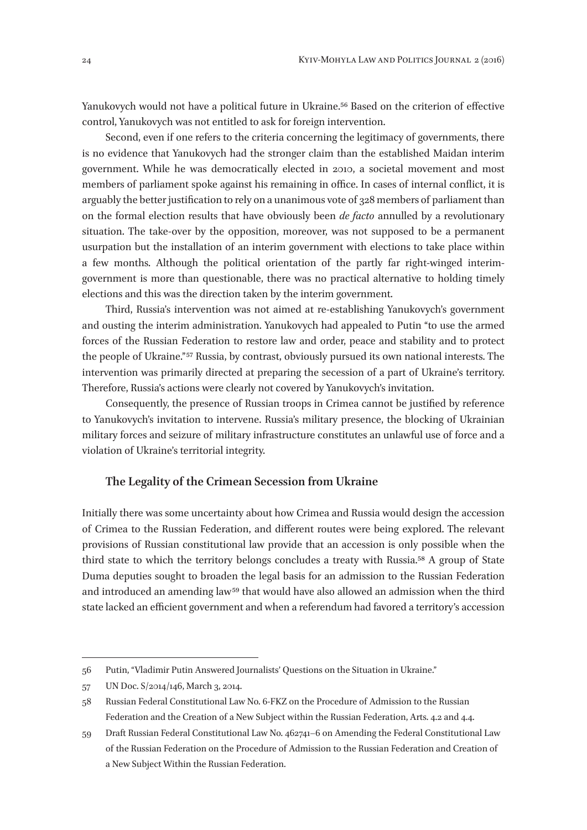Yanukovych would not have a political future in Ukraine.<sup>56</sup> Based on the criterion of effective control, Yanukovych was not entitled to ask for foreign intervention.

Second, even if one refers to the criteria concerning the legitimacy of governments, there is no evidence that Yanukovych had the stronger claim than the established Maidan interim government. While he was democratically elected in 2010, a societal movement and most members of parliament spoke against his remaining in office. In cases of internal conflict, it is arguably the better justification to rely on a unanimous vote of 328 members of parliament than on the formal election results that have obviously been *de facto* annulled by a revolutionary situation. The take-over by the opposition, moreover, was not supposed to be a permanent usurpation but the installation of an interim government with elections to take place within a few months. Although the political orientation of the partly far right-winged interimgovernment is more than questionable, there was no practical alternative to holding timely elections and this was the direction taken by the interim government.

Third, Russia's intervention was not aimed at re-establishing Yanukovych's government and ousting the interim administration. Yanukovych had appealed to Putin "to use the armed forces of the Russian Federation to restore law and order, peace and stability and to protect the people of Ukraine." 57 Russia, by contrast, obviously pursued its own national interests. The intervention was primarily directed at preparing the secession of a part of Ukraine's territory. Therefore, Russia's actions were clearly not covered by Yanukovych's invitation.

Consequently, the presence of Russian troops in Crimea cannot be justified by reference to Yanukovych's invitation to intervene. Russia's military presence, the blocking of Ukrainian military forces and seizure of military infrastructure constitutes an unlawful use of force and a violation of Ukraine's territorial integrity.

#### **The Legality of the Crimean Secession from Ukraine**

Initially there was some uncertainty about how Crimea and Russia would design the accession of Crimea to the Russian Federation, and different routes were being explored. The relevant provisions of Russian constitutional law provide that an accession is only possible when the third state to which the territory belongs concludes a treaty with Russia.58 A group of State Duma deputies sought to broaden the legal basis for an admission to the Russian Federation and introduced an amending law 59 that would have also allowed an admission when the third state lacked an efficient government and when a referendum had favored a territory's accession

<sup>56</sup> Putin, "Vladimir Putin Answered Journalists' Questions on the Situation in Ukraine."

<sup>57</sup> UN Doc. S/2014/146, March 3, 2014.

<sup>58</sup> Russian Federal Constitutional Law No. 6-FKZ on the Procedure of Admission to the Russian Federation and the Creation of a New Subject within the Russian Federation, Arts. 4.2 and 4.4.

<sup>59</sup> Draft Russian Federal Constitutional Law No. 462741–6 on Amending the Federal Constitutional Law of the Russian Federation on the Procedure of Admission to the Russian Federation and Creation of a New Subject Within the Russian Federation.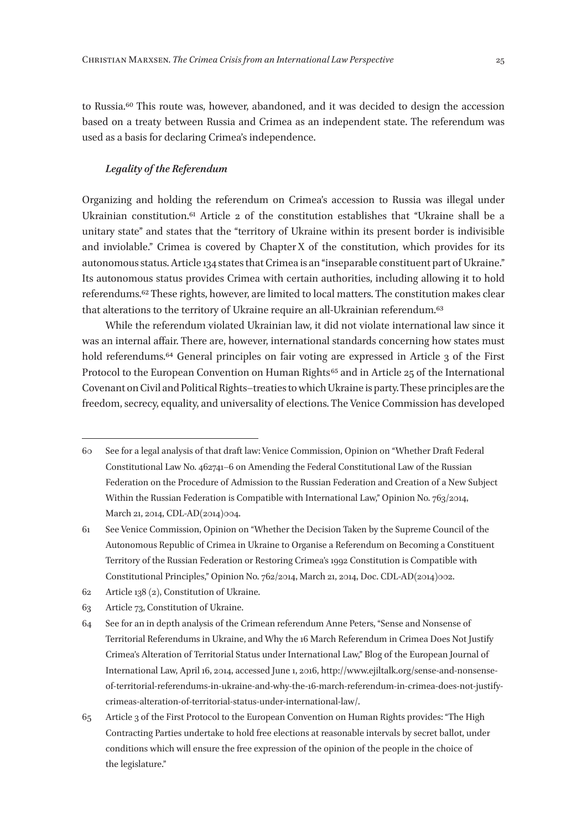to Russia.60 This route was, however, abandoned, and it was decided to design the accession based on a treaty between Russia and Crimea as an independent state. The referendum was used as a basis for declaring Crimea's independence.

#### *Legality of the Referendum*

Organizing and holding the referendum on Crimea's accession to Russia was illegal under Ukrainian constitution.61 Article 2 of the constitution establishes that "Ukraine shall be a unitary state" and states that the "territory of Ukraine within its present border is indivisible and inviolable." Crimea is covered by Chapter X of the constitution, which provides for its autonomous status. Article 134 states that Crimea is an "inseparable constituent part of Ukraine." Its autonomous status provides Crimea with certain authorities, including allowing it to hold referendums.62 These rights, however, are limited to local matters. The constitution makes clear that alterations to the territory of Ukraine require an all-Ukrainian referendum.63

While the referendum violated Ukrainian law, it did not violate international law since it was an internal affair. There are, however, international standards concerning how states must hold referendums.<sup>64</sup> General principles on fair voting are expressed in Article 3 of the First Protocol to the European Convention on Human Rights 65 and in Article 25 of the International Covenant on Civil and Political Rights–treaties to which Ukraine is party. These principles are the freedom, secrecy, equality, and universality of elections. The Venice Commission has developed

- 62 Article 138 (2), Constitution of Ukraine.
- 63 Article 73, Constitution of Ukraine.
- 64 See for an in depth analysis of the Crimean referendum Anne Peters, "Sense and Nonsense of Territorial Referendums in Ukraine, and Why the 16 March Referendum in Crimea Does Not Justify Crimea's Alteration of Territorial Status under International Law," Blog of the European Journal of International Law, April 16, 2014, accessed June 1, 2016, http://www.ejiltalk.org/sense-and-nonsenseof-territorial-referendums-in-ukraine-and-why-the-16-march-referendum-in-crimea-does-not-justifycrimeas-alteration-of-territorial-status-under-international-law/.
- 65 Article 3 of the First Protocol to the European Convention on Human Rights provides: "The High Contracting Parties undertake to hold free elections at reasonable intervals by secret ballot, under conditions which will ensure the free expression of the opinion of the people in the choice of the legislature."

<sup>60</sup> See for a legal analysis of that draft law: Venice Commission, Opinion on "Whether Draft Federal Constitutional Law No. 462741–6 on Amending the Federal Constitutional Law of the Russian Federation on the Procedure of Admission to the Russian Federation and Creation of a New Subject Within the Russian Federation is Compatible with International Law," Opinion No. 763/2014, March 21, 2014, CDL-AD(2014)004.

<sup>61</sup> See Venice Commission, Opinion on "Whether the Decision Taken by the Supreme Council of the Autonomous Republic of Crimea in Ukraine to Organise a Referendum on Becoming a Constituent Territory of the Russian Federation or Restoring Crimea's 1992 Constitution is Compatible with Constitutional Principles," Opinion No. 762/2014, March 21, 2014, Doc. CDL-AD(2014)002.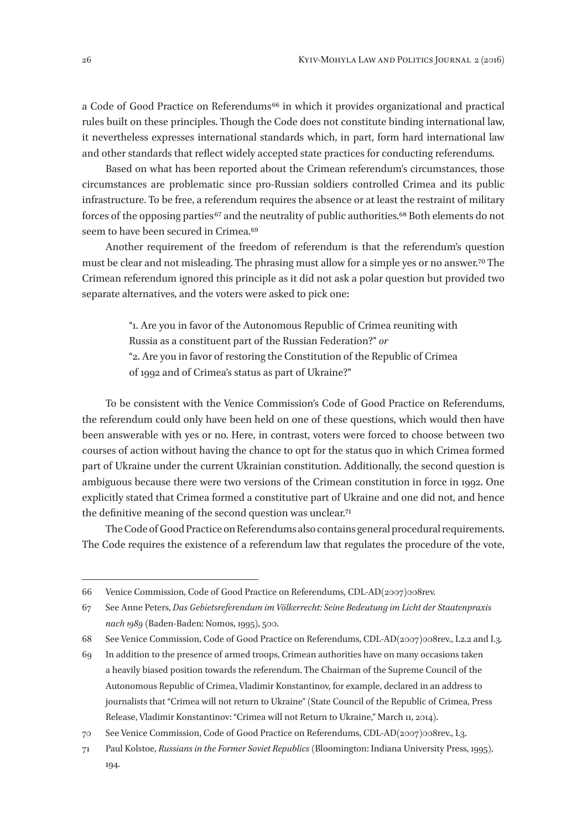a Code of Good Practice on Referendums<sup>66</sup> in which it provides organizational and practical rules built on these principles. Though the Code does not constitute binding international law, it nevertheless expresses international standards which, in part, form hard international law and other standards that reflect widely accepted state practices for conducting referendums.

Based on what has been reported about the Crimean referendum's circumstances, those circumstances are problematic since pro-Russian soldiers controlled Crimea and its public infrastructure. To be free, a referendum requires the absence or at least the restraint of military forces of the opposing parties<sup>67</sup> and the neutrality of public authorities.<sup>68</sup> Both elements do not seem to have been secured in Crimea.69

Another requirement of the freedom of referendum is that the referendum's question must be clear and not misleading. The phrasing must allow for a simple yes or no answer.70 The Crimean referendum ignored this principle as it did not ask a polar question but provided two separate alternatives, and the voters were asked to pick one:

> "1. Are you in favor of the Autonomous Republic of Crimea reuniting with Russia as a constituent part of the Russian Federation?" *or* "2. Are you in favor of restoring the Constitution of the Republic of Crimea of 1992 and of Crimea's status as part of Ukraine?"

To be consistent with the Venice Commission's Code of Good Practice on Referendums, the referendum could only have been held on one of these questions, which would then have been answerable with yes or no. Here, in contrast, voters were forced to choose between two courses of action without having the chance to opt for the status quo in which Crimea formed part of Ukraine under the current Ukrainian constitution. Additionally, the second question is ambiguous because there were two versions of the Crimean constitution in force in 1992. One explicitly stated that Crimea formed a constitutive part of Ukraine and one did not, and hence the definitive meaning of the second question was unclear.<sup>71</sup>

The Code of Good Practice on Referendums also contains general procedural requirements. The Code requires the existence of a referendum law that regulates the procedure of the vote,

<sup>66</sup> Venice Commission, Code of Good Practice on Referendums, CDL-AD(2007)008rev.

<sup>67</sup> See Anne Peters, *Das Gebietsreferendum im Völkerrecht: Seine Bedeutung im Licht der Staatenpraxis nach 1989* (Baden-Baden: Nomos, 1995), 500.

<sup>68</sup> See Venice Commission, Code of Good Practice on Referendums, CDL-AD(2007)008rev., I.2.2 and I.3.

<sup>69</sup> In addition to the presence of armed troops, Crimean authorities have on many occasions taken a heavily biased position towards the referendum. The Chairman of the Supreme Council of the Autonomous Republic of Crimea, Vladimir Konstantinov, for example, declared in an address to journalists that "Crimea will not return to Ukraine" (State Council of the Republic of Crimea, Press Release, Vladimir Konstantinov: "Crimea will not Return to Ukraine," March 11, 2014).

<sup>70</sup> See Venice Commission, Code of Good Practice on Referendums, CDL-AD(2007)008rev., I.3.

<sup>71</sup> Paul Kolstoe, *Russians in the Former Soviet Republics* (Bloomington: Indiana University Press, 1995), 194.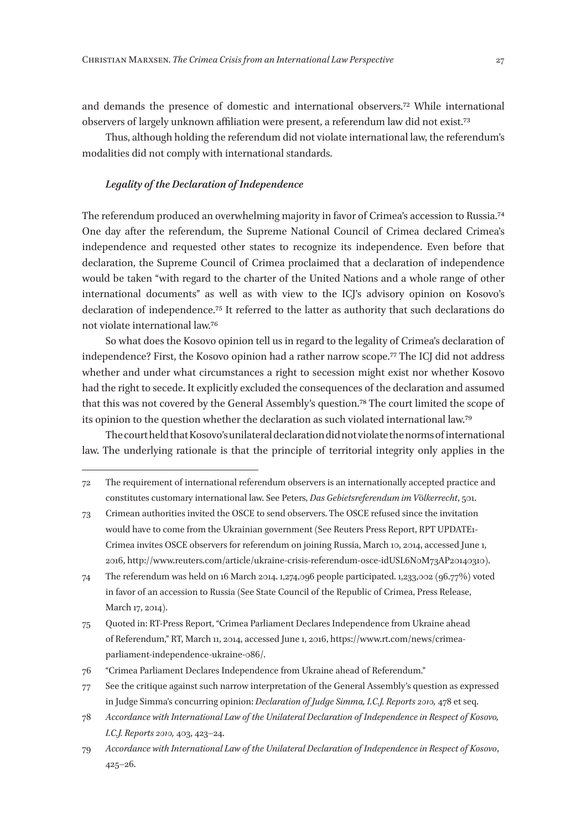and demands the presence of domestic and international observers.72 While international observers of largely unknown affiliation were present, a referendum law did not exist.73

Thus, although holding the referendum did not violate international law, the referendum's modalities did not comply with international standards.

#### *Legality of the Declaration of Independence*

The referendum produced an overwhelming majority in favor of Crimea's accession to Russia.74 One day after the referendum, the Supreme National Council of Crimea declared Crimea's independence and requested other states to recognize its independence. Even before that declaration, the Supreme Council of Crimea proclaimed that a declaration of independence would be taken "with regard to the charter of the United Nations and a whole range of other international documents" as well as with view to the ICJ's advisory opinion on Kosovo's declaration of independence.75 It referred to the latter as authority that such declarations do not violate international law.76

So what does the Kosovo opinion tell us in regard to the legality of Crimea's declaration of independence? First, the Kosovo opinion had a rather narrow scope.77 The ICJ did not address whether and under what circumstances a right to secession might exist nor whether Kosovo had the right to secede. It explicitly excluded the consequences of the declaration and assumed that this was not covered by the General Assembly's question.78 The court limited the scope of its opinion to the question whether the declaration as such violated international law.79

The court held that Kosovo's unilateral declaration did not violate the norms of international law. The underlying rationale is that the principle of territorial integrity only applies in the

<sup>72</sup> The requirement of international referendum observers is an internationally accepted practice and constitutes customary international law. See Peters, *Das Gebietsreferendum im V*ö*lkerrecht*, 501.

<sup>73</sup> Crimean authorities invited the OSCE to send observers. The OSCE refused since the invitation would have to come from the Ukrainian government (See Reuters Press Report, RPT UPDATE1- Crimea invites OSCE observers for referendum on joining Russia, March 10, 2014, accessed June 1, 2016, http://www.reuters.com/article/ukraine-crisis-referendum-osce-idUSL6N0M73AP20140310).

<sup>74</sup> The referendum was held on 16 March 2014. 1,274,096 people participated. 1,233,002 (96.77%) voted in favor of an accession to Russia (See State Council of the Republic of Crimea, Press Release, March 17, 2014).

<sup>75</sup> Quoted in: RT-Press Report, "Crimea Parliament Declares Independence from Ukraine ahead of Referendum," RT, March 11, 2014, accessed June 1, 2016, https://www.rt.com/news/crimeaparliament-independence-ukraine‑086/.

<sup>76</sup> "Crimea Parliament Declares Independence from Ukraine ahead of Referendum."

<sup>77</sup> See the critique against such narrow interpretation of the General Assembly's question as expressed in Judge Simma's concurring opinion: *Declaration of Judge Simma, I.C.J. Reports 2010,* 478 et seq.

<sup>78</sup> *Accordance with International Law of the Unilateral Declaration of Independence in Respect of Kosovo, I.C.J. Reports 2010,* 403, 423–24.

<sup>79</sup> *Accordance with International Law of the Unilateral Declaration of Independence in Respect of Kosovo*, 425–26.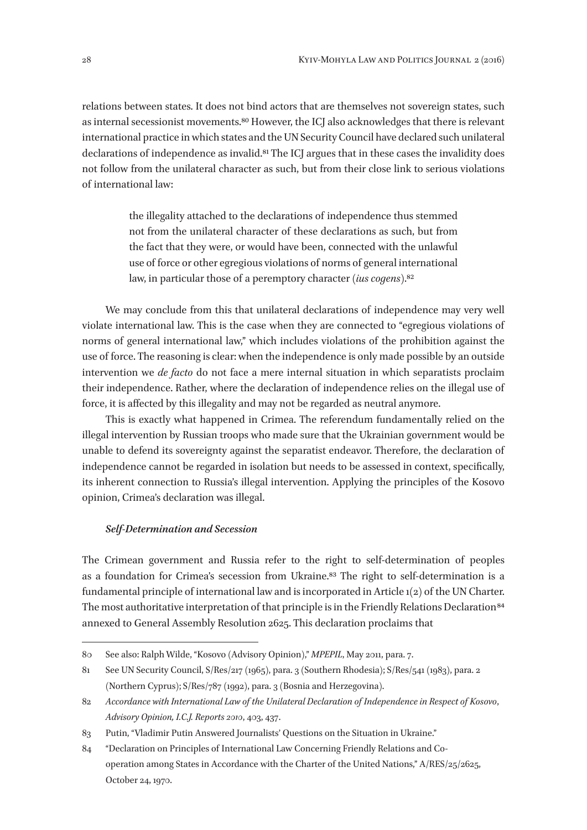relations between states. It does not bind actors that are themselves not sovereign states, such as internal secessionist movements.80 However, the ICJ also acknowledges that there is relevant international practice in which states and the UN Security Council have declared such unilateral declarations of independence as invalid.<sup>81</sup> The ICJ argues that in these cases the invalidity does not follow from the unilateral character as such, but from their close link to serious violations of international law:

> the illegality attached to the declarations of independence thus stemmed not from the unilateral character of these declarations as such, but from the fact that they were, or would have been, connected with the unlawful use of force or other egregious violations of norms of general international law, in particular those of a peremptory character (*ius cogens*).82

We may conclude from this that unilateral declarations of independence may very well violate international law. This is the case when they are connected to "egregious violations of norms of general international law," which includes violations of the prohibition against the use of force. The reasoning is clear: when the independence is only made possible by an outside intervention we *de facto* do not face a mere internal situation in which separatists proclaim their independence. Rather, where the declaration of independence relies on the illegal use of force, it is affected by this illegality and may not be regarded as neutral anymore.

This is exactly what happened in Crimea. The referendum fundamentally relied on the illegal intervention by Russian troops who made sure that the Ukrainian government would be unable to defend its sovereignty against the separatist endeavor. Therefore, the declaration of independence cannot be regarded in isolation but needs to be assessed in context, specifically, its inherent connection to Russia's illegal intervention. Applying the principles of the Kosovo opinion, Crimea's declaration was illegal.

#### *Self-Determination and Secession*

The Crimean government and Russia refer to the right to self-determination of peoples as a foundation for Crimea's secession from Ukraine.83 The right to self-determination is a fundamental principle of international law and is incorporated in Article 1(2) of the UN Charter. The most authoritative interpretation of that principle is in the Friendly Relations Declaration<sup>84</sup> annexed to General Assembly Resolution 2625. This declaration proclaims that

<sup>80</sup> See also: Ralph Wilde, "Kosovo (Advisory Opinion)," *MPEPIL*, May 2011, para. 7.

<sup>81</sup> See UN Security Council, S/Res/217 (1965), para. 3 (Southern Rhodesia); S/Res/541 (1983), para. 2 (Northern Cyprus); S/Res/787 (1992), para. 3 (Bosnia and Herzegovina).

<sup>82</sup> *Accordance with International Law of the Unilateral Declaration of Independence in Respect of Kosovo*, *Advisory Opinion, I.C.J. Reports 2010*, 403, 437.

<sup>83</sup> Putin, "Vladimir Putin Answered Journalists' Questions on the Situation in Ukraine."

<sup>84</sup> "Declaration on Principles of International Law Concerning Friendly Relations and Cooperation among States in Accordance with the Charter of the United Nations," A/RES/25/2625, October 24, 1970.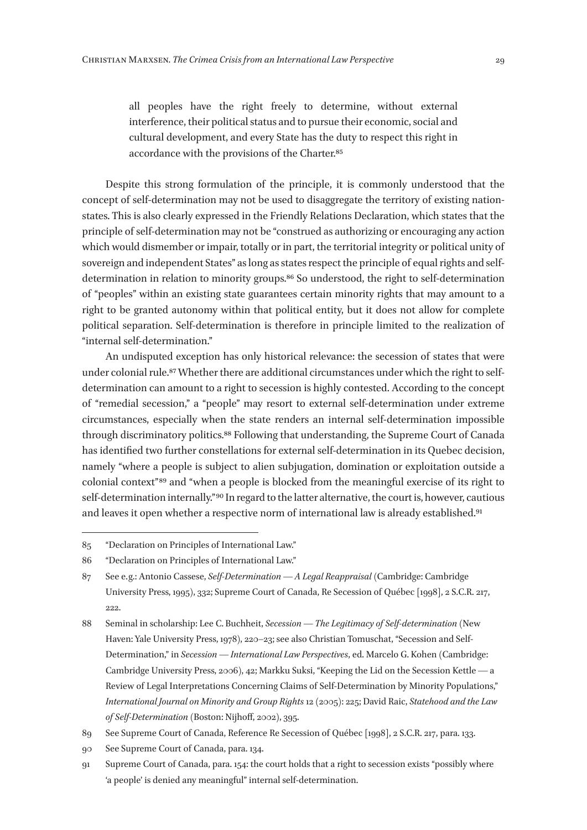all peoples have the right freely to determine, without external interference, their political status and to pursue their economic, social and cultural development, and every State has the duty to respect this right in accordance with the provisions of the Charter.85

Despite this strong formulation of the principle, it is commonly understood that the concept of self-determination may not be used to disaggregate the territory of existing nationstates. This is also clearly expressed in the Friendly Relations Declaration, which states that the principle of self-determination may not be "construed as authorizing or encouraging any action which would dismember or impair, totally or in part, the territorial integrity or political unity of sovereign and independent States" as long as states respect the principle of equal rights and selfdetermination in relation to minority groups.86 So understood, the right to self-determination of "peoples" within an existing state guarantees certain minority rights that may amount to a right to be granted autonomy within that political entity, but it does not allow for complete political separation. Self-determination is therefore in principle limited to the realization of "internal self-determination."

An undisputed exception has only historical relevance: the secession of states that were under colonial rule.87 Whether there are additional circumstances under which the right to selfdetermination can amount to a right to secession is highly contested. According to the concept of "remedial secession," a "people" may resort to external self-determination under extreme circumstances, especially when the state renders an internal self-determination impossible through discriminatory politics.88 Following that understanding, the Supreme Court of Canada has identified two further constellations for external self-determination in its Quebec decision, namely "where a people is subject to alien subjugation, domination or exploitation outside a colonial context" 89 and "when a people is blocked from the meaningful exercise of its right to self-determination internally."<sup>90</sup> In regard to the latter alternative, the court is, however, cautious and leaves it open whether a respective norm of international law is already established.<sup>91</sup>

- 90 See Supreme Court of Canada, para. 134.
- 91 Supreme Court of Canada, para. 154: the court holds that a right to secession exists "possibly where 'a people' is denied any meaningful" internal self-determination.

<sup>85</sup> "Declaration on Principles of International Law."

<sup>86</sup> "Declaration on Principles of International Law."

<sup>87</sup> See e. g.: Antonio Cassese, *Self-Determination — A Legal Reappraisal* (Cambridge: Cambridge University Press, 1995), 332; Supreme Court of Canada, Re Secession of Québec [1998], 2 S.C.R. 217, 222.

<sup>88</sup> Seminal in scholarship: Lee C. Buchheit, *Secession — The Legitimacy of Self-determination* (New Haven: Yale University Press, 1978), 220–23; see also Christian Tomuschat, "Secession and Self-Determination," in *Secession — International Law Perspectives*, ed. Marcelo G. Kohen (Cambridge: Cambridge University Press, 2006), 42; Markku Suksi, "Keeping the Lid on the Secession Kettle — a Review of Legal Interpretations Concerning Claims of Self-Determination by Minority Populations," *International Journal on Minority and Group Rights* 12 (2005): 225; David Raic, *Statehood and the Law of Self-Determination* (Boston: Nijhoff, 2002), 395.

<sup>89</sup> See Supreme Court of Canada, Reference Re Secession of Québec [1998], 2 S.C.R. 217, para. 133.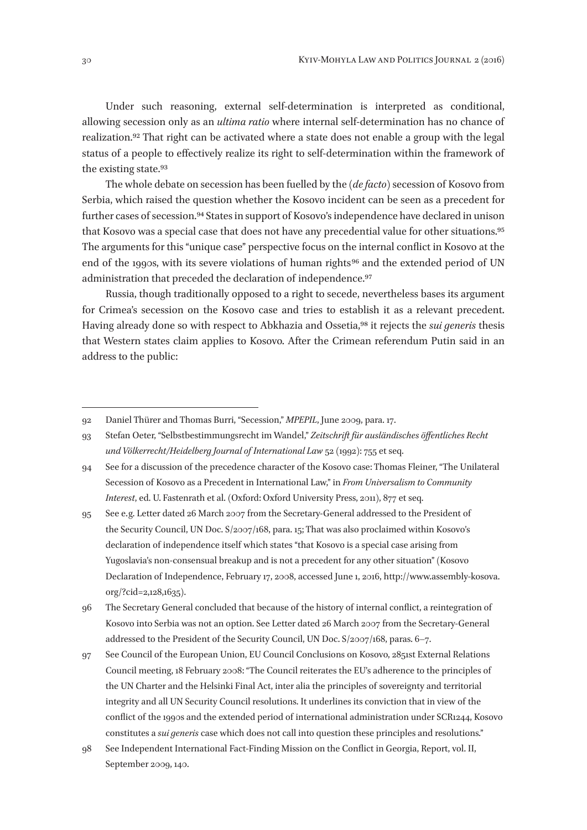Under such reasoning, external self-determination is interpreted as conditional, allowing secession only as an *ultima ratio* where internal self-determination has no chance of realization.92 That right can be activated where a state does not enable a group with the legal status of a people to effectively realize its right to self-determination within the framework of the existing state.93

The whole debate on secession has been fuelled by the (*de facto*) secession of Kosovo from Serbia, which raised the question whether the Kosovo incident can be seen as a precedent for further cases of secession.94 States in support of Kosovo's independence have declared in unison that Kosovo was a special case that does not have any precedential value for other situations.<sup>95</sup> The arguments for this "unique case" perspective focus on the internal conflict in Kosovo at the end of the 1990s, with its severe violations of human rights<sup>96</sup> and the extended period of UN administration that preceded the declaration of independence.97

Russia, though traditionally opposed to a right to secede, nevertheless bases its argument for Crimea's secession on the Kosovo case and tries to establish it as a relevant precedent. Having already done so with respect to Abkhazia and Ossetia,98 it rejects the *sui generis* thesis that Western states claim applies to Kosovo. After the Crimean referendum Putin said in an address to the public:

95 See e. g. Letter dated 26 March 2007 from the Secretary-General addressed to the President of the Security Council, UN Doc. S/2007/168, para. 15; That was also proclaimed within Kosovo's declaration of independence itself which states "that Kosovo is a special case arising from Yugoslavia's non-consensual breakup and is not a precedent for any other situation" (Kosovo Declaration of Independence, February 17, 2008, accessed June 1, 2016, http://www.assembly-kosova. org/?cid=2,128,1635).

96 The Secretary General concluded that because of the history of internal conflict, a reintegration of Kosovo into Serbia was not an option. See Letter dated 26 March 2007 from the Secretary-General addressed to the President of the Security Council, UN Doc. S/2007/168, paras. 6–7.

97 See Council of the European Union, EU Council Conclusions on Kosovo, 2851st External Relations Council meeting, 18 February 2008: "The Council reiterates the EU's adherence to the principles of the UN Charter and the Helsinki Final Act, inter alia the principles of sovereignty and territorial integrity and all UN Security Council resolutions. It underlines its conviction that in view of the conflict of the 1990s and the extended period of international administration under SCR1244, Kosovo constitutes a *sui generis* case which does not call into question these principles and resolutions."

<sup>92</sup> Daniel Thürer and Thomas Burri, "Secession," *MPEPIL*, June 2009, para. 17.

<sup>93</sup> Stefan Oeter, "Selbstbestimmungsrecht im Wandel," *Zeitschrift für ausländisches öffentliches Recht und Völkerrecht/Heidelberg Journal of International Law* 52 (1992): 755 et seq.

<sup>94</sup> See for a discussion of the precedence character of the Kosovo case: Thomas Fleiner, "The Unilateral Secession of Kosovo as a Precedent in International Law," in *From Universalism to Community Interest*, ed. U. Fastenrath et al. (Oxford: Oxford University Press, 2011), 877 et seq.

<sup>98</sup> See Independent International Fact-Finding Mission on the Conflict in Georgia, Report, vol. II, September 2009, 140.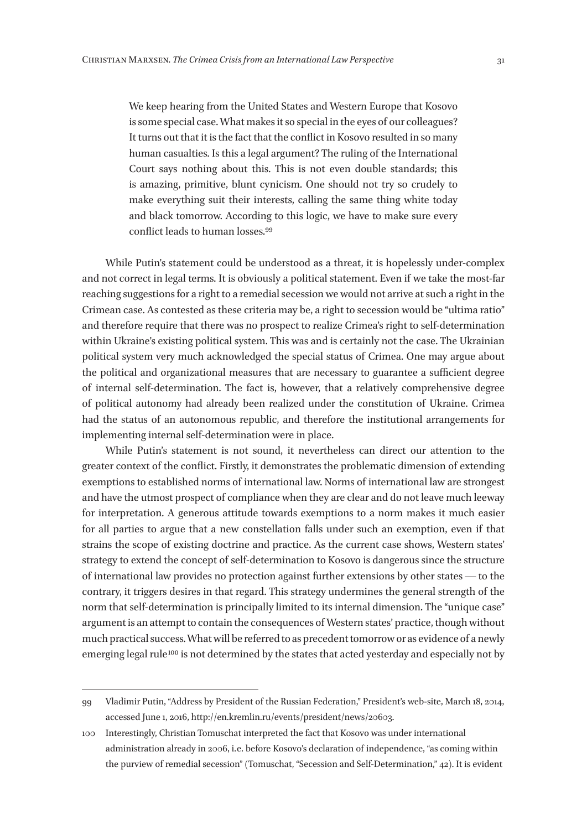We keep hearing from the United States and Western Europe that Kosovo is some special case. What makes it so special in the eyes of our colleagues? It turns out that it is the fact that the conflict in Kosovo resulted in so many human casualties. Is this a legal argument? The ruling of the International Court says nothing about this. This is not even double standards; this is amazing, primitive, blunt cynicism. One should not try so crudely to make everything suit their interests, calling the same thing white today and black tomorrow. According to this logic, we have to make sure every conflict leads to human losses.99

While Putin's statement could be understood as a threat, it is hopelessly under-complex and not correct in legal terms. It is obviously a political statement. Even if we take the most-far reaching suggestions for a right to a remedial secession we would not arrive at such a right in the Crimean case. As contested as these criteria may be, a right to secession would be "ultima ratio" and therefore require that there was no prospect to realize Crimea's right to self-determination within Ukraine's existing political system. This was and is certainly not the case. The Ukrainian political system very much acknowledged the special status of Crimea. One may argue about the political and organizational measures that are necessary to guarantee a sufficient degree of internal self-determination. The fact is, however, that a relatively comprehensive degree of political autonomy had already been realized under the constitution of Ukraine. Crimea had the status of an autonomous republic, and therefore the institutional arrangements for implementing internal self-determination were in place.

While Putin's statement is not sound, it nevertheless can direct our attention to the greater context of the conflict. Firstly, it demonstrates the problematic dimension of extending exemptions to established norms of international law. Norms of international law are strongest and have the utmost prospect of compliance when they are clear and do not leave much leeway for interpretation. A generous attitude towards exemptions to a norm makes it much easier for all parties to argue that a new constellation falls under such an exemption, even if that strains the scope of existing doctrine and practice. As the current case shows, Western states' strategy to extend the concept of self-determination to Kosovo is dangerous since the structure of international law provides no protection against further extensions by other states — to the contrary, it triggers desires in that regard. This strategy undermines the general strength of the norm that self-determination is principally limited to its internal dimension. The "unique case" argument is an attempt to contain the consequences of Western states' practice, though without much practical success. What will be referred to as precedent tomorrow or as evidence of a newly emerging legal rule<sup>100</sup> is not determined by the states that acted yesterday and especially not by

<sup>99</sup> Vladimir Putin, "Address by President of the Russian Federation," President's web-site, March 18, 2014, accessed June 1, 2016, http://en.kremlin.ru/events/president/news/20603.

<sup>100</sup> Interestingly, Christian Tomuschat interpreted the fact that Kosovo was under international administration already in 2006, i.e. before Kosovo's declaration of independence, "as coming within the purview of remedial secession" (Tomuschat, "Secession and Self-Determination," 42). It is evident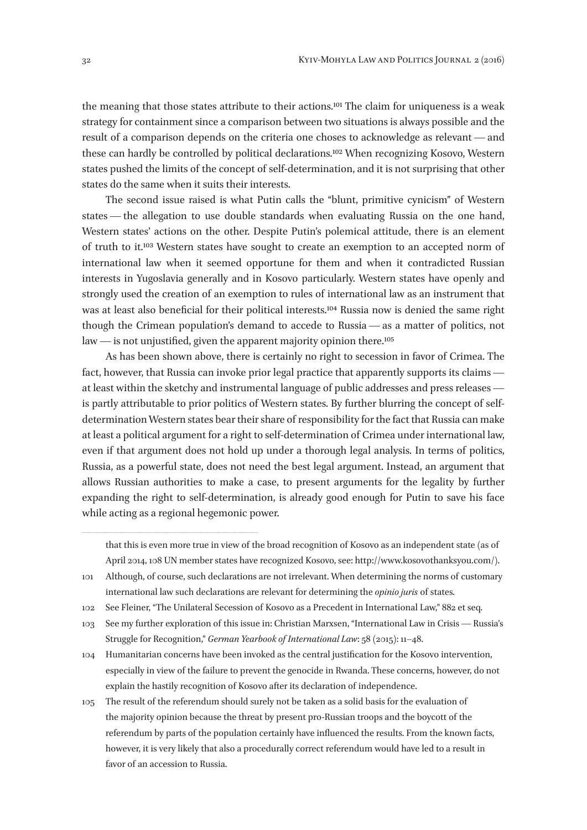the meaning that those states attribute to their actions.101 The claim for uniqueness is a weak strategy for containment since a comparison between two situations is always possible and the result of a comparison depends on the criteria one choses to acknowledge as relevant — and these can hardly be controlled by political declarations.102 When recognizing Kosovo, Western states pushed the limits of the concept of self-determination, and it is not surprising that other states do the same when it suits their interests.

The second issue raised is what Putin calls the "blunt, primitive cynicism" of Western states — the allegation to use double standards when evaluating Russia on the one hand, Western states' actions on the other. Despite Putin's polemical attitude, there is an element of truth to it.103 Western states have sought to create an exemption to an accepted norm of international law when it seemed opportune for them and when it contradicted Russian interests in Yugoslavia generally and in Kosovo particularly. Western states have openly and strongly used the creation of an exemption to rules of international law as an instrument that was at least also beneficial for their political interests.104 Russia now is denied the same right though the Crimean population's demand to accede to Russia — as a matter of politics, not law — is not unjustified, given the apparent majority opinion there.105

As has been shown above, there is certainly no right to secession in favor of Crimea. The fact, however, that Russia can invoke prior legal practice that apparently supports its claims   at least within the sketchy and instrumental language of public addresses and press releases   is partly attributable to prior politics of Western states. By further blurring the concept of selfdetermination Western states bear their share of responsibility for the fact that Russia can make at least a political argument for a right to self-determination of Crimea under international law, even if that argument does not hold up under a thorough legal analysis. In terms of politics, Russia, as a powerful state, does not need the best legal argument. Instead, an argument that allows Russian authorities to make a case, to present arguments for the legality by further expanding the right to self-determination, is already good enough for Putin to save his face while acting as a regional hegemonic power.

that this is even more true in view of the broad recognition of Kosovo as an independent state (as of April 2014, 108 UN member states have recognized Kosovo, see: http://www.kosovothanksyou.com/).

<sup>101</sup> Although, of course, such declarations are not irrelevant. When determining the norms of customary international law such declarations are relevant for determining the *opinio juris* of states.

<sup>102</sup> See Fleiner, "The Unilateral Secession of Kosovo as a Precedent in International Law," 882 et seq.

<sup>103</sup> See my further exploration of this issue in: Christian Marxsen, "International Law in Crisis — Russia's Struggle for Recognition," *German Yearbook of International Law*: 58 (2015): 11–48.

<sup>104</sup> Humanitarian concerns have been invoked as the central justification for the Kosovo intervention, especially in view of the failure to prevent the genocide in Rwanda. These concerns, however, do not explain the hastily recognition of Kosovo after its declaration of independence.

<sup>105</sup> The result of the referendum should surely not be taken as a solid basis for the evaluation of the majority opinion because the threat by present pro-Russian troops and the boycott of the referendum by parts of the population certainly have influenced the results. From the known facts, however, it is very likely that also a procedurally correct referendum would have led to a result in favor of an accession to Russia.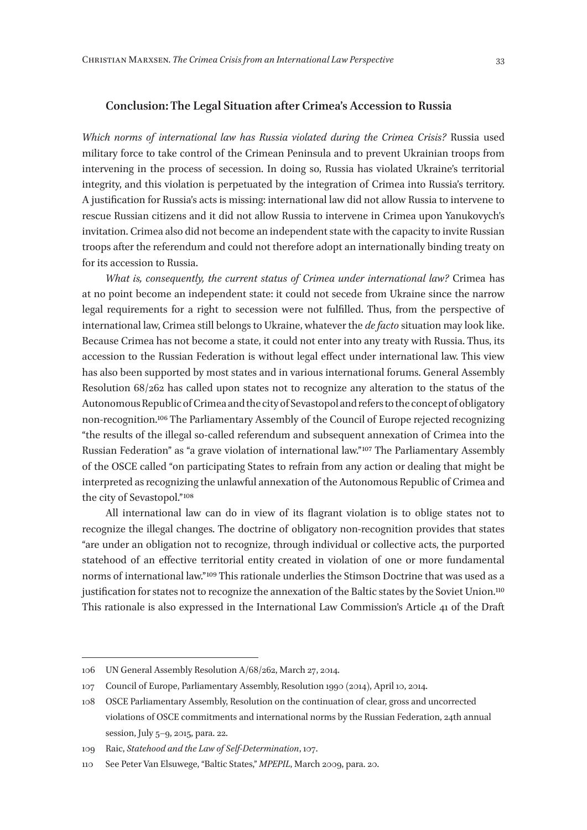### **Conclusion: The Legal Situation after Crimea's Accession to Russia**

*Which norms of international law has Russia violated during the Crimea Crisis?* Russia used military force to take control of the Crimean Peninsula and to prevent Ukrainian troops from intervening in the process of secession. In doing so, Russia has violated Ukraine's territorial integrity, and this violation is perpetuated by the integration of Crimea into Russia's territory. A justification for Russia's acts is missing: international law did not allow Russia to intervene to rescue Russian citizens and it did not allow Russia to intervene in Crimea upon Yanukovych's invitation. Crimea also did not become an independent state with the capacity to invite Russian troops after the referendum and could not therefore adopt an internationally binding treaty on for its accession to Russia.

*What is, consequently, the current status of Crimea under international law?* Crimea has at no point become an independent state: it could not secede from Ukraine since the narrow legal requirements for a right to secession were not fulfilled. Thus, from the perspective of international law, Crimea still belongs to Ukraine, whatever the *de facto* situation may look like. Because Crimea has not become a state, it could not enter into any treaty with Russia. Thus, its accession to the Russian Federation is without legal effect under international law. This view has also been supported by most states and in various international forums. General Assembly Resolution 68/262 has called upon states not to recognize any alteration to the status of the Autonomous Republic of Crimea and the city of Sevastopol and refers to the concept of obligatory non-recognition.106 The Parliamentary Assembly of the Council of Europe rejected recognizing "the results of the illegal so-called referendum and subsequent annexation of Crimea into the Russian Federation" as "a grave violation of international law." 107 The Parliamentary Assembly of the OSCE called "on participating States to refrain from any action or dealing that might be interpreted as recognizing the unlawful annexation of the Autonomous Republic of Crimea and the city of Sevastopol." 108

All international law can do in view of its flagrant violation is to oblige states not to recognize the illegal changes. The doctrine of obligatory non-recognition provides that states "are under an obligation not to recognize, through individual or collective acts, the purported statehood of an effective territorial entity created in violation of one or more fundamental norms of international law." 109 This rationale underlies the Stimson Doctrine that was used as a justification for states not to recognize the annexation of the Baltic states by the Soviet Union.<sup>110</sup> This rationale is also expressed in the International Law Commission's Article 41 of the Draft

<sup>106</sup> UN General Assembly Resolution A/68/262, March 27, 2014.

<sup>107</sup> Council of Europe, Parliamentary Assembly, Resolution 1990 (2014), April 10, 2014.

<sup>108</sup> OSCE Parliamentary Assembly, Resolution on the continuation of clear, gross and uncorrected violations of OSCE commitments and international norms by the Russian Federation, 24th annual session, July 5–9, 2015, para. 22.

<sup>109</sup> Raic, *Statehood and the Law of Self-Determination*, 107.

<sup>110</sup> See Peter Van Elsuwege, "Baltic States," *MPEPIL*, March 2009, para. 20.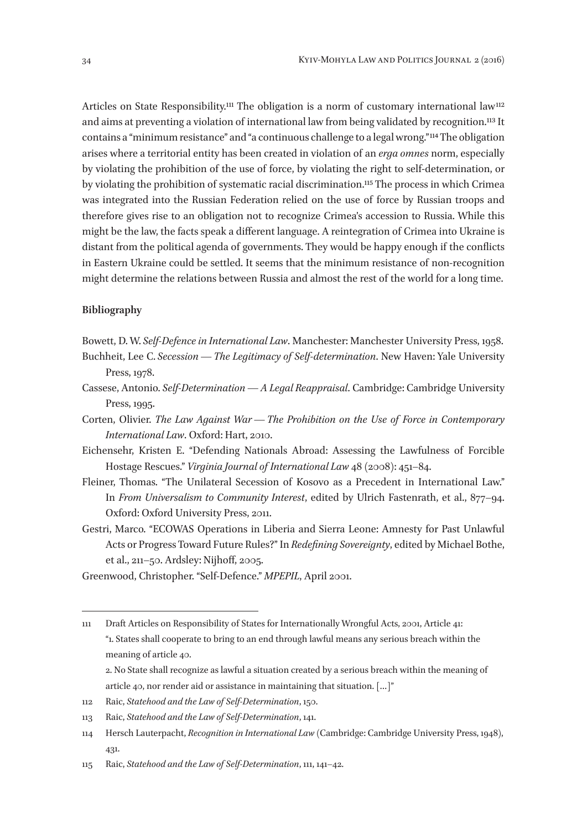Articles on State Responsibility.<sup>111</sup> The obligation is a norm of customary international law<sup>112</sup> and aims at preventing a violation of international law from being validated by recognition.113 It contains a "minimum resistance" and "a continuous challenge to a legal wrong." 114 The obligation arises where a territorial entity has been created in violation of an *erga omnes* norm, especially by violating the prohibition of the use of force, by violating the right to self-determination, or by violating the prohibition of systematic racial discrimination.115 The process in which Crimea was integrated into the Russian Federation relied on the use of force by Russian troops and therefore gives rise to an obligation not to recognize Crimea's accession to Russia. While this might be the law, the facts speak a different language. A reintegration of Crimea into Ukraine is distant from the political agenda of governments. They would be happy enough if the conflicts in Eastern Ukraine could be settled. It seems that the minimum resistance of non-recognition might determine the relations between Russia and almost the rest of the world for a long time.

#### **Bibliography**

- Bowett, D. W.*Self-Defence in International Law*. Manchester: Manchester University Press, 1958.
- Buchheit, Lee C. *Secession — The Legitimacy of Self-determination*. New Haven: Yale University Press, 1978.
- Cassese, Antonio. *Self-Determination — A Legal Reappraisal*. Cambridge: Cambridge University Press, 1995.
- Corten, Olivier. *The Law Against War — The Prohibition on the Use of Force in Contemporary International Law*. Oxford: Hart, 2010.
- Eichensehr, Kristen E. "Defending Nationals Abroad: Assessing the Lawfulness of Forcible Hostage Rescues." *Virginia Journal of International Law* 48 (2008): 451–84.
- Fleiner, Thomas. "The Unilateral Secession of Kosovo as a Precedent in International Law." In *From Universalism to Community Interest*, edited by Ulrich Fastenrath, et al., 877–94. Oxford: Oxford University Press, 2011.
- Gestri, Marco. "ECOWAS Operations in Liberia and Sierra Leone: Amnesty for Past Unlawful Acts or Progress Toward Future Rules?" In *Redefining Sovereignty*, edited by Michael Bothe, et al., 211–50. Ardsley: Nijhoff, 2005.
- Greenwood, Christopher. "Self-Defence." *MPEPIL*, April 2001.

2. No State shall recognize as lawful a situation created by a serious breach within the meaning of article 40, nor render aid or assistance in maintaining that situation. […]"

114 Hersch Lauterpacht, *Recognition in International Law* (Cambridge: Cambridge University Press, 1948), 431.

<sup>111</sup> Draft Articles on Responsibility of States for Internationally Wrongful Acts, 2001, Article 41: "1. States shall cooperate to bring to an end through lawful means any serious breach within the meaning of article 40.

<sup>112</sup> Raic, *Statehood and the Law of Self-Determination*, 150.

<sup>113</sup> Raic, *Statehood and the Law of Self-Determination*, 141.

<sup>115</sup> Raic, *Statehood and the Law of Self-Determination*, 111, 141–42.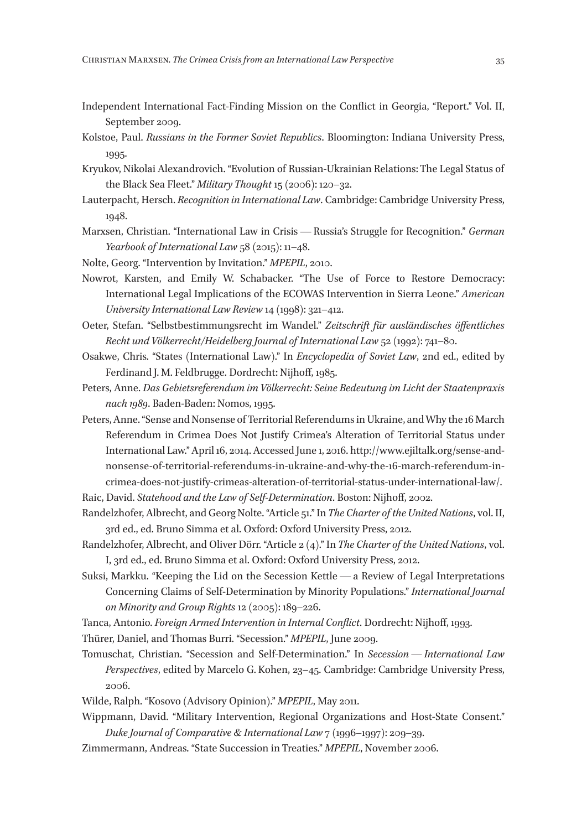- Independent International Fact-Finding Mission on the Conflict in Georgia, "Report." Vol. II, September 2009.
- Kolstoe, Paul. *Russians in the Former Soviet Republics*. Bloomington: Indiana University Press, 1995.
- Kryukov, Nikolai Alexandrovich. "Evolution of Russian-Ukrainian Relations: The Legal Status of the Black Sea Fleet." *Military Thought* 15 (2006): 120–32.
- Lauterpacht, Hersch. *Recognition in International Law*. Cambridge: Cambridge University Press, 1948.
- Marxsen, Christian. "International Law in Crisis — Russia's Struggle for Recognition." *German Yearbook of International Law* 58 (2015): 11–48.
- Nolte, Georg. "Intervention by Invitation." *MPEPIL*, 2010.
- Nowrot, Karsten, and Emily W. Schabacker. "The Use of Force to Restore Democracy: International Legal Implications of the ECOWAS Intervention in Sierra Leone." *American University International Law Review* 14 (1998): 321–412.
- Oeter, Stefan. "Selbstbestimmungsrecht im Wandel." *Zeitschrift für ausländisches öffentliches Recht und Völkerrecht/Heidelberg Journal of International Law* 52 (1992): 741–80.
- Osakwe, Chris. "States (International Law)." In *Encyclopedia of Soviet Law*, 2nd ed., edited by Ferdinand J. M. Feldbrugge. Dordrecht: Nijhoff, 1985.
- Peters, Anne. *Das Gebietsreferendum im Völkerrecht: Seine Bedeutung im Licht der Staatenpraxis nach 1989*. Baden-Baden: Nomos, 1995.
- Peters, Anne. "Sense and Nonsense of Territorial Referendums in Ukraine, and Why the 16 March Referendum in Crimea Does Not Justify Crimea's Alteration of Territorial Status under International Law." April 16, 2014. Accessed June 1, 2016. http://www.ejiltalk.org/sense-andnonsense-of-territorial-referendums-in-ukraine-and-why-the-16-march-referendum-incrimea-does-not-justify-crimeas-alteration-of-territorial-status-under-international-law/. Raic, David. *Statehood and the Law of Self-Determination*. Boston: Nijhoff, 2002.
- Randelzhofer, Albrecht, and Georg Nolte. "Article 51." In *The Charter of the United Nations*, vol. II, 3rd ed., ed. Bruno Simma et al. Oxford: Oxford University Press, 2012.
- Randelzhofer, Albrecht, and Oliver Dörr. "Article 2 (4)." In *The Charter of the United Nations*, vol. I, 3rd ed., ed. Bruno Simma et al. Oxford: Oxford University Press, 2012.
- Suksi, Markku. "Keeping the Lid on the Secession Kettle — a Review of Legal Interpretations Concerning Claims of Self-Determination by Minority Populations." *International Journal on Minority and Group Rights* 12 (2005): 189–226.
- Tanca, Antonio. *Foreign Armed Intervention in Internal Conflict*. Dordrecht: Nijhoff, 1993.
- Thürer, Daniel, and Thomas Burri. "Secession." *MPEPIL*, June 2009.
- Tomuschat, Christian. "Secession and Self-Determination." In *Secession — International Law Perspectives*, edited by Marcelo G. Kohen, 23–45. Cambridge: Cambridge University Press, 2006.
- Wilde, Ralph. "Kosovo (Advisory Opinion)." *MPEPIL*, May 2011.
- Wippmann, David. "Military Intervention, Regional Organizations and Host-State Consent." *Duke Journal of Comparative & International Law* 7 (1996–1997): 209–39.
- Zimmermann, Andreas. "State Succession in Treaties." *MPEPIL*, November 2006.